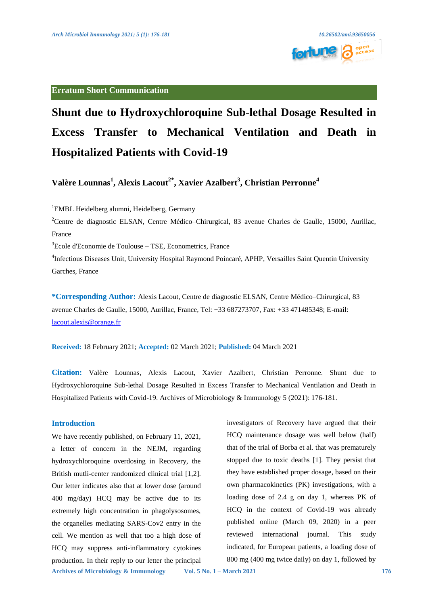

# **Erratum Short Communication**

# **Shunt due to Hydroxychloroquine Sub-lethal Dosage Resulted in Excess Transfer to Mechanical Ventilation and Death in Hospitalized Patients with Covid-19**

**Valère Lounnas<sup>1</sup> , Alexis Lacout2\*, Xavier Azalbert3 , Christian Perronne<sup>4</sup>**

1 EMBL Heidelberg alumni, Heidelberg, Germany

<sup>2</sup>Centre de diagnostic ELSAN, Centre Médico–Chirurgical, 83 avenue Charles de Gaulle, 15000, Aurillac, France

3 Ecole d'Economie de Toulouse – TSE, Econometrics, France

<sup>4</sup>Infectious Diseases Unit, University Hospital Raymond Poincaré, APHP, Versailles Saint Quentin University Garches, France

**\*Corresponding Author:** Alexis Lacout, Centre de diagnostic ELSAN, Centre Médico–Chirurgical, 83 avenue Charles de Gaulle, 15000, Aurillac, France, Tel: +33 687273707, Fax: +33 471485348; E-mail: [lacout.alexis@orange.fr](mailto:lacout.alexis@orange.fr)

**Received:** 18 February 2021; **Accepted:** 02 March 2021; **Published:** 04 March 2021

**Citation:** Valère Lounnas, Alexis Lacout, Xavier Azalbert, Christian Perronne. Shunt due to Hydroxychloroquine Sub-lethal Dosage Resulted in Excess Transfer to Mechanical Ventilation and Death in Hospitalized Patients with Covid-19. Archives of Microbiology & Immunology 5 (2021): 176-181.

# **Introduction**

We have recently published, on February 11, 2021, a letter of concern in the NEJM, regarding hydroxychloroquine overdosing in Recovery, the British mutli-center randomized clinical trial [1,2]. Our letter indicates also that at lower dose (around 400 mg/day) HCQ may be active due to its extremely high concentration in phagolysosomes, the organelles mediating SARS-Cov2 entry in the cell. We mention as well that too a high dose of HCQ may suppress anti-inflammatory cytokines production. In their reply to our letter the principal

investigators of Recovery have argued that their HCQ maintenance dosage was well below (half) that of the trial of Borba et al. that was prematurely stopped due to toxic deaths [1]. They persist that they have established proper dosage, based on their own pharmacokinetics (PK) investigations, with a loading dose of 2.4 g on day 1, whereas PK of HCQ in the context of Covid-19 was already published online (March 09, 2020) in a peer reviewed international journal. This study indicated, for European patients, a loading dose of 800 mg (400 mg twice daily) on day 1, followed by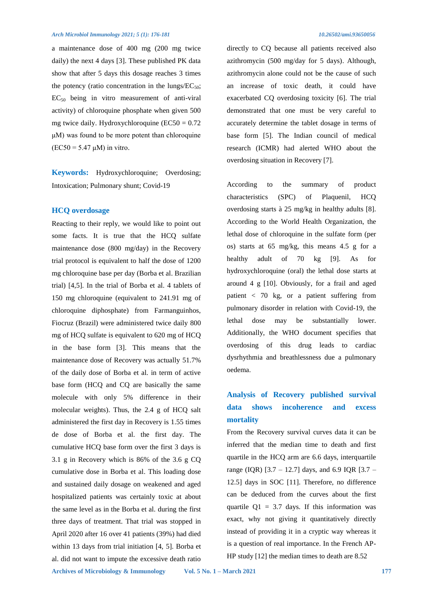a maintenance dose of 400 mg (200 mg twice daily) the next 4 days [3]. These published PK data show that after 5 days this dosage reaches 3 times the potency (ratio concentration in the lungs/ $EC_{50}$ ;  $EC_{50}$  being in vitro measurement of anti-viral activity) of chloroquine phosphate when given 500 mg twice daily. Hydroxychloroquine ( $EC50 = 0.72$ ) μM) was found to be more potent than chloroquine  $(EC50 = 5.47 \mu M)$  in vitro.

**Keywords:** Hydroxychloroquine; Overdosing; Intoxication; Pulmonary shunt; Covid-19

#### **HCQ overdosage**

Reacting to their reply, we would like to point out some facts. It is true that the HCQ sulfate maintenance dose (800 mg/day) in the Recovery trial protocol is equivalent to half the dose of 1200 mg chloroquine base per day (Borba et al. Brazilian trial) [4,5]. In the trial of Borba et al. 4 tablets of 150 mg chloroquine (equivalent to 241.91 mg of chloroquine diphosphate) from Farmanguinhos, Fiocruz (Brazil) were administered twice daily 800 mg of HCQ sulfate is equivalent to 620 mg of HCQ in the base form [3]. This means that the maintenance dose of Recovery was actually 51.7% of the daily dose of Borba et al. in term of active base form (HCQ and CQ are basically the same molecule with only 5% difference in their molecular weights). Thus, the 2.4 g of HCQ salt administered the first day in Recovery is 1.55 times de dose of Borba et al. the first day. The cumulative HCQ base form over the first 3 days is 3.1 g in Recovery which is 86% of the 3.6 g CQ cumulative dose in Borba et al. This loading dose and sustained daily dosage on weakened and aged hospitalized patients was certainly toxic at about the same level as in the Borba et al. during the first three days of treatment. That trial was stopped in April 2020 after 16 over 41 patients (39%) had died within 13 days from trial initiation [4, 5]. Borba et al. did not want to impute the excessive death ratio

directly to CQ because all patients received also azithromycin (500 mg/day for 5 days). Although, azithromycin alone could not be the cause of such an increase of toxic death, it could have exacerbated CQ overdosing toxicity [6]. The trial demonstrated that one must be very careful to accurately determine the tablet dosage in terms of base form [5]. The Indian council of medical research (ICMR) had alerted WHO about the overdosing situation in Recovery [7].

According to the summary of product characteristics (SPC) of Plaquenil, HCQ overdosing starts à 25 mg/kg in healthy adults [8]. According to the World Health Organization, the lethal dose of chloroquine in the sulfate form (per os) starts at 65 mg/kg, this means 4.5 g for a healthy adult of 70 kg [9]. As for hydroxychloroquine (oral) the lethal dose starts at around 4 g [10]. Obviously, for a frail and aged patient < 70 kg, or a patient suffering from pulmonary disorder in relation with Covid-19, the lethal dose may be substantially lower. Additionally, the WHO document specifies that overdosing of this drug leads to cardiac dysrhythmia and breathlessness due a pulmonary oedema.

# **Analysis of Recovery published survival data shows incoherence and excess mortality**

From the Recovery survival curves data it can be inferred that the median time to death and first quartile in the HCQ arm are 6.6 days, interquartile range (IQR) [3.7 – 12.7] days, and 6.9 IQR [3.7 – 12.5] days in SOC [11]. Therefore, no difference can be deduced from the curves about the first quartile  $Q1 = 3.7$  days. If this information was exact, why not giving it quantitatively directly instead of providing it in a cryptic way whereas it is a question of real importance. In the French AP-HP study [12] the median times to death are 8.52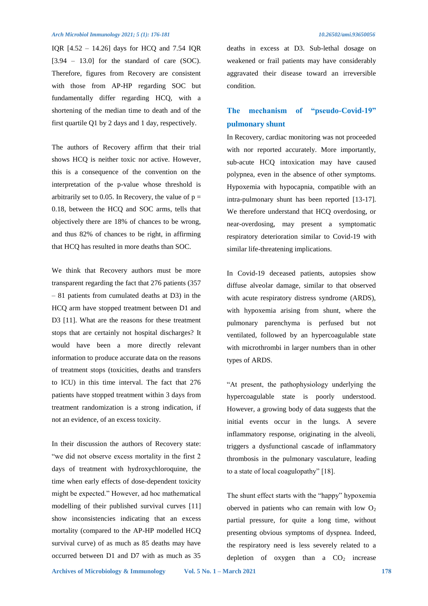#### *Arch Microbiol Immunology 2021; 5 (1): 176-181 10.26502/ami.93650056*

IQR [4.52 – 14.26] days for HCQ and 7.54 IQR  $[3.94 - 13.0]$  for the standard of care (SOC). Therefore, figures from Recovery are consistent with those from AP-HP regarding SOC but fundamentally differ regarding HCQ, with a shortening of the median time to death and of the first quartile Q1 by 2 days and 1 day, respectively.

The authors of Recovery affirm that their trial shows HCQ is neither toxic nor active. However, this is a consequence of the convention on the interpretation of the p-value whose threshold is arbitrarily set to 0.05. In Recovery, the value of  $p =$ 0.18, between the HCQ and SOC arms, tells that objectively there are 18% of chances to be wrong, and thus 82% of chances to be right, in affirming that HCQ has resulted in more deaths than SOC.

We think that Recovery authors must be more transparent regarding the fact that 276 patients (357 – 81 patients from cumulated deaths at D3) in the HCQ arm have stopped treatment between D1 and D3 [11]. What are the reasons for these treatment stops that are certainly not hospital discharges? It would have been a more directly relevant information to produce accurate data on the reasons of treatment stops (toxicities, deaths and transfers to ICU) in this time interval. The fact that 276 patients have stopped treatment within 3 days from treatment randomization is a strong indication, if not an evidence, of an excess toxicity.

In their discussion the authors of Recovery state: "we did not observe excess mortality in the first 2 days of treatment with hydroxychloroquine, the time when early effects of dose-dependent toxicity might be expected." However, ad hoc mathematical modelling of their published survival curves [11] show inconsistencies indicating that an excess mortality (compared to the AP-HP modelled HCQ survival curve) of as much as 85 deaths may have occurred between D1 and D7 with as much as 35

deaths in excess at D3. Sub-lethal dosage on weakened or frail patients may have considerably aggravated their disease toward an irreversible condition.

# **The mechanism of "pseudo-Covid-19" pulmonary shunt**

In Recovery, cardiac monitoring was not proceeded with nor reported accurately. More importantly, sub-acute HCQ intoxication may have caused polypnea, even in the absence of other symptoms. Hypoxemia with hypocapnia, compatible with an intra-pulmonary shunt has been reported [13-17]. We therefore understand that HCQ overdosing, or near-overdosing, may present a symptomatic respiratory deterioration similar to Covid-19 with similar life-threatening implications.

In Covid-19 deceased patients, autopsies show diffuse alveolar damage, similar to that observed with acute respiratory distress syndrome (ARDS), with hypoxemia arising from shunt, where the pulmonary parenchyma is perfused but not ventilated, followed by an hypercoagulable state with microthrombi in larger numbers than in other types of ARDS.

"At present, the pathophysiology underlying the hypercoagulable state is poorly understood. However, a growing body of data suggests that the initial events occur in the lungs. A severe inflammatory response, originating in the alveoli, triggers a dysfunctional cascade of inflammatory thrombosis in the pulmonary vasculature, leading to a state of local coagulopathy" [18].

The shunt effect starts with the "happy" hypoxemia oberved in patients who can remain with low  $O_2$ partial pressure, for quite a long time, without presenting obvious symptoms of dyspnea. Indeed, the respiratory need is less severely related to a depletion of oxygen than a  $CO<sub>2</sub>$  increase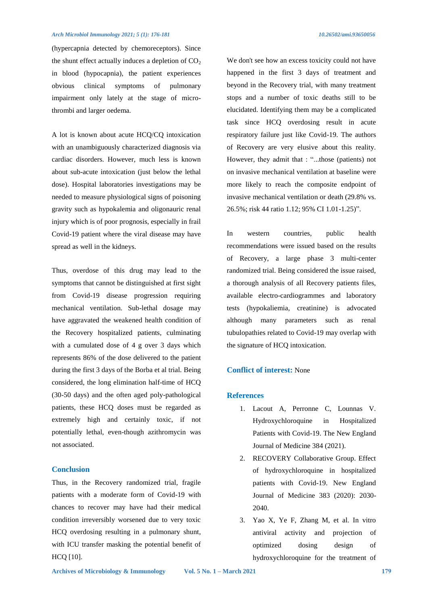(hypercapnia detected by chemoreceptors). Since the shunt effect actually induces a depletion of  $CO<sub>2</sub>$ in blood (hypocapnia), the patient experiences obvious clinical symptoms of pulmonary impairment only lately at the stage of microthrombi and larger oedema.

A lot is known about acute HCQ/CQ intoxication with an unambiguously characterized diagnosis via cardiac disorders. However, much less is known about sub-acute intoxication (just below the lethal dose). Hospital laboratories investigations may be needed to measure physiological signs of poisoning gravity such as hypokalemia and oligonauric renal injury which is of poor prognosis, especially in frail Covid-19 patient where the viral disease may have spread as well in the kidneys.

Thus, overdose of this drug may lead to the symptoms that cannot be distinguished at first sight from Covid-19 disease progression requiring mechanical ventilation. Sub-lethal dosage may have aggravated the weakened health condition of the Recovery hospitalized patients, culminating with a cumulated dose of 4 g over 3 days which represents 86% of the dose delivered to the patient during the first 3 days of the Borba et al trial. Being considered, the long elimination half-time of HCQ (30-50 days) and the often aged poly-pathological patients, these HCQ doses must be regarded as extremely high and certainly toxic, if not potentially lethal, even-though azithromycin was not associated.

## **Conclusion**

Thus, in the Recovery randomized trial, fragile patients with a moderate form of Covid-19 with chances to recover may have had their medical condition irreversibly worsened due to very toxic HCQ overdosing resulting in a pulmonary shunt, with ICU transfer masking the potential benefit of HCQ [10].

We don't see how an excess toxicity could not have happened in the first 3 days of treatment and beyond in the Recovery trial, with many treatment stops and a number of toxic deaths still to be elucidated. Identifying them may be a complicated task since HCQ overdosing result in acute respiratory failure just like Covid-19. The authors of Recovery are very elusive about this reality. However, they admit that : "...those (patients) not on invasive mechanical ventilation at baseline were more likely to reach the composite endpoint of invasive mechanical ventilation or death (29.8% vs. 26.5%; risk 44 ratio 1.12; 95% CI 1.01-1.25)".

In western countries, public health recommendations were issued based on the results of Recovery, a large phase 3 multi-center randomized trial. Being considered the issue raised, a thorough analysis of all Recovery patients files, available electro-cardiogrammes and laboratory tests (hypokaliemia, creatinine) is advocated although many parameters such as renal tubulopathies related to Covid-19 may overlap with the signature of HCQ intoxication.

### **Conflict of interest:** None

#### **References**

- 1. Lacout A, Perronne C, Lounnas V. Hydroxychloroquine in Hospitalized Patients with Covid-19. The New England Journal of Medicine 384 (2021).
- 2. RECOVERY Collaborative Group. Effect of hydroxychloroquine in hospitalized patients with Covid-19. New England Journal of Medicine 383 (2020): 2030- 2040.
- 3. Yao X, Ye F, Zhang M, et al. In vitro antiviral activity and projection of optimized dosing design of hydroxychloroquine for the treatment of

**Archives of Microbiology & Immunology Vol. 5 No. 1 – March 2021 179**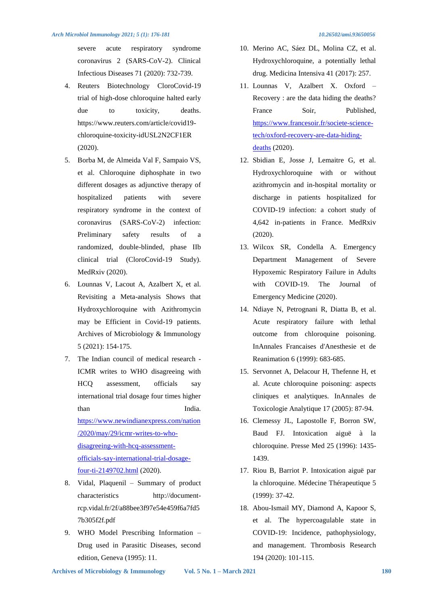severe acute respiratory syndrome coronavirus 2 (SARS-CoV-2). Clinical Infectious Diseases 71 (2020): 732-739.

- 4. Reuters Biotechnology CloroCovid-19 trial of high-dose chloroquine halted early due to toxicity, deaths. https://www.reuters.com/article/covid19 chloroquine-toxicity-idUSL2N2CF1ER (2020).
- 5. Borba M, de Almeida Val F, Sampaio VS, et al. Chloroquine diphosphate in two different dosages as adjunctive therapy of hospitalized patients with severe respiratory syndrome in the context of coronavirus (SARS-CoV-2) infection: Preliminary safety results of a randomized, double-blinded, phase IIb clinical trial (CloroCovid-19 Study). MedRxiv (2020).
- 6. Lounnas V, Lacout A, Azalbert X, et al. Revisiting a Meta-analysis Shows that Hydroxychloroquine with Azithromycin may be Efficient in Covid-19 patients. Archives of Microbiology & Immunology 5 (2021): 154-175.
- 7. The Indian council of medical research ICMR writes to WHO disagreeing with HCQ assessment, officials say international trial dosage four times higher than India. [https://www.newindianexpress.com/nation](https://www.newindianexpress.com/nation/2020/may/29/icmr-writes-to-who-disagreeing-with-hcq-assessment-officials-say-international-trial-dosage-four-ti-2149702.html) [/2020/may/29/icmr-writes-to-who](https://www.newindianexpress.com/nation/2020/may/29/icmr-writes-to-who-disagreeing-with-hcq-assessment-officials-say-international-trial-dosage-four-ti-2149702.html)[disagreeing-with-hcq-assessment](https://www.newindianexpress.com/nation/2020/may/29/icmr-writes-to-who-disagreeing-with-hcq-assessment-officials-say-international-trial-dosage-four-ti-2149702.html)[officials-say-international-trial-dosage](https://www.newindianexpress.com/nation/2020/may/29/icmr-writes-to-who-disagreeing-with-hcq-assessment-officials-say-international-trial-dosage-four-ti-2149702.html)[four-ti-2149702.html](https://www.newindianexpress.com/nation/2020/may/29/icmr-writes-to-who-disagreeing-with-hcq-assessment-officials-say-international-trial-dosage-four-ti-2149702.html) (2020).
- 8. Vidal, Plaquenil Summary of product characteristics http://documentrcp.vidal.fr/2f/a88bee3f97e54e459f6a7fd5 7b305f2f.pdf
- 9. WHO Model Prescribing Information Drug used in Parasitic Diseases, second edition, Geneva (1995): 11.
- 10. Merino AC, Sáez DL, Molina CZ, et al. Hydroxychloroquine, a potentially lethal drug. Medicina Intensiva 41 (2017): 257.
- 11. Lounnas V, Azalbert X. Oxford Recovery : are the data hiding the deaths? France Soir, Published, [https://www.francesoir.fr/societe-science](https://www.francesoir.fr/societe-science-tech/oxford-recovery-are-data-hiding-deaths)[tech/oxford-recovery-are-data-hiding](https://www.francesoir.fr/societe-science-tech/oxford-recovery-are-data-hiding-deaths)[deaths](https://www.francesoir.fr/societe-science-tech/oxford-recovery-are-data-hiding-deaths) (2020).
- 12. Sbidian E, Josse J, Lemaitre G, et al. Hydroxychloroquine with or without azithromycin and in-hospital mortality or discharge in patients hospitalized for COVID-19 infection: a cohort study of 4,642 in-patients in France. MedRxiv (2020).
- 13. Wilcox SR, Condella A. Emergency Department Management of Severe Hypoxemic Respiratory Failure in Adults with COVID-19. The Journal of Emergency Medicine (2020).
- 14. Ndiaye N, Petrognani R, Diatta B, et al. Acute respiratory failure with lethal outcome from chloroquine poisoning. InAnnales Francaises d'Anesthesie et de Reanimation 6 (1999): 683-685.
- 15. Servonnet A, Delacour H, Thefenne H, et al. Acute chloroquine poisoning: aspects cliniques et analytiques. InAnnales de Toxicologie Analytique 17 (2005): 87-94.
- 16. Clemessy JL, Lapostolle F, Borron SW, Baud FJ. Intoxication aiguë à la chloroquine. Presse Med 25 (1996): 1435- 1439.
- 17. Riou B, Barriot P. Intoxication aiguë par la chloroquine. Médecine Thérapeutique 5 (1999): 37-42.
- 18. Abou-Ismail MY, Diamond A, Kapoor S, et al. The hypercoagulable state in COVID-19: Incidence, pathophysiology, and management. Thrombosis Research 194 (2020): 101-115.